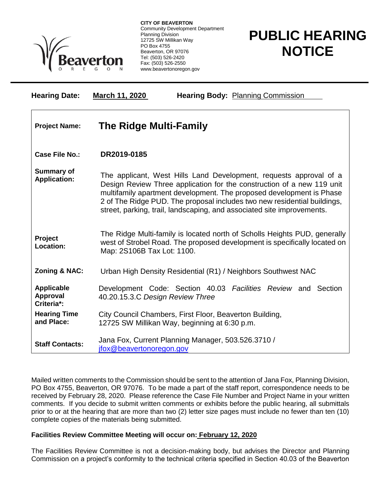

**CITY OF BEAVERTON** Community Development Department Planning Division 12725 SW Millikan Way PO Box 4755 Beaverton, OR 97076 Tel: (503) 526-2420 Fax: (503) 526-2550 www.beavertonoregon.gov

## **PUBLIC HEARING NOTICE**

| <b>Hearing Date:</b>                               | March 11, 2020<br><b>Hearing Body: Planning Commission</b>                                                                                                                                                                                                                                                                                                                 |
|----------------------------------------------------|----------------------------------------------------------------------------------------------------------------------------------------------------------------------------------------------------------------------------------------------------------------------------------------------------------------------------------------------------------------------------|
| <b>Project Name:</b>                               | <b>The Ridge Multi-Family</b>                                                                                                                                                                                                                                                                                                                                              |
| <b>Case File No.:</b>                              | DR2019-0185                                                                                                                                                                                                                                                                                                                                                                |
| <b>Summary of</b><br><b>Application:</b>           | The applicant, West Hills Land Development, requests approval of a<br>Design Review Three application for the construction of a new 119 unit<br>multifamily apartment development. The proposed development is Phase<br>2 of The Ridge PUD. The proposal includes two new residential buildings,<br>street, parking, trail, landscaping, and associated site improvements. |
| Project<br>Location:                               | The Ridge Multi-family is located north of Scholls Heights PUD, generally<br>west of Strobel Road. The proposed development is specifically located on<br>Map: 2S106B Tax Lot: 1100.                                                                                                                                                                                       |
| Zoning & NAC:                                      | Urban High Density Residential (R1) / Neighbors Southwest NAC                                                                                                                                                                                                                                                                                                              |
| <b>Applicable</b><br><b>Approval</b><br>Criteria*: | Development Code: Section 40.03 Facilities Review and Section<br>40.20.15.3.C Design Review Three                                                                                                                                                                                                                                                                          |
| <b>Hearing Time</b><br>and Place:                  | City Council Chambers, First Floor, Beaverton Building,<br>12725 SW Millikan Way, beginning at 6:30 p.m.                                                                                                                                                                                                                                                                   |
| <b>Staff Contacts:</b>                             | Jana Fox, Current Planning Manager, 503.526.3710 /<br>ifox@beavertonoregon.gov                                                                                                                                                                                                                                                                                             |

Mailed written comments to the Commission should be sent to the attention of Jana Fox, Planning Division, PO Box 4755, Beaverton, OR 97076. To be made a part of the staff report, correspondence needs to be received by February 28, 2020. Please reference the Case File Number and Project Name in your written comments. If you decide to submit written comments or exhibits before the public hearing, all submittals prior to or at the hearing that are more than two (2) letter size pages must include no fewer than ten (10) complete copies of the materials being submitted.

## **Facilities Review Committee Meeting will occur on: February 12, 2020**

The Facilities Review Committee is not a decision-making body, but advises the Director and Planning Commission on a project's conformity to the technical criteria specified in Section 40.03 of the Beaverton